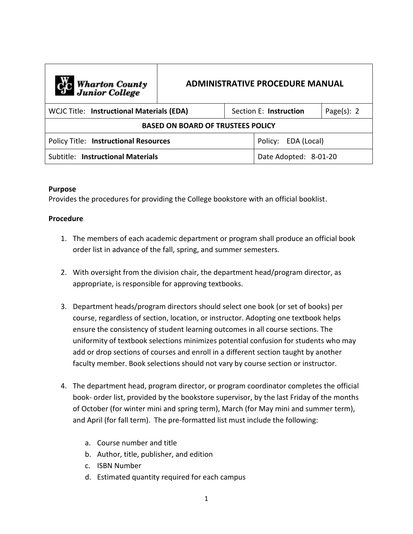| C <sub>1</sub> C Wharton County<br>Junior College | <b>ADMINISTRATIVE PROCEDURE MANUAL</b> |  |                        |                |
|---------------------------------------------------|----------------------------------------|--|------------------------|----------------|
| <b>WCJC Title: Instructional Materials (EDA)</b>  |                                        |  | Section E: Instruction | Page $(s)$ : 2 |
| <b>BASED ON BOARD OF TRUSTEES POLICY</b>          |                                        |  |                        |                |
| <b>Policy Title: Instructional Resources</b>      |                                        |  | Policy: EDA (Local)    |                |
| Subtitle: Instructional Materials                 |                                        |  | Date Adopted: 8-01-20  |                |

## **Purpose**

Provides the procedures for providing the College bookstore with an official booklist.

## **Procedure**

- 1. The members of each academic department or program shall produce an official book order list in advance of the fall, spring, and summer semesters.
- 2. With oversight from the division chair, the department head/program director, as appropriate, is responsible for approving textbooks.
- 3. Department heads/program directors should select one book (or set of books) per course, regardless of section, location, or instructor. Adopting one textbook helps ensure the consistency of student learning outcomes in all course sections. The uniformity of textbook selections minimizes potential confusion for students who may add or drop sections of courses and enroll in a different section taught by another faculty member. Book selections should not vary by course section or instructor.
- 4. The department head, program director, or program coordinator completes the official book- order list, provided by the bookstore supervisor, by the last Friday of the months of October (for winter mini and spring term), March (for May mini and summer term), and April (for fall term). The pre-formatted list must include the following:
	- a. Course number and title
	- b. Author, title, publisher, and edition
	- c. ISBN Number
	- d. Estimated quantity required for each campus